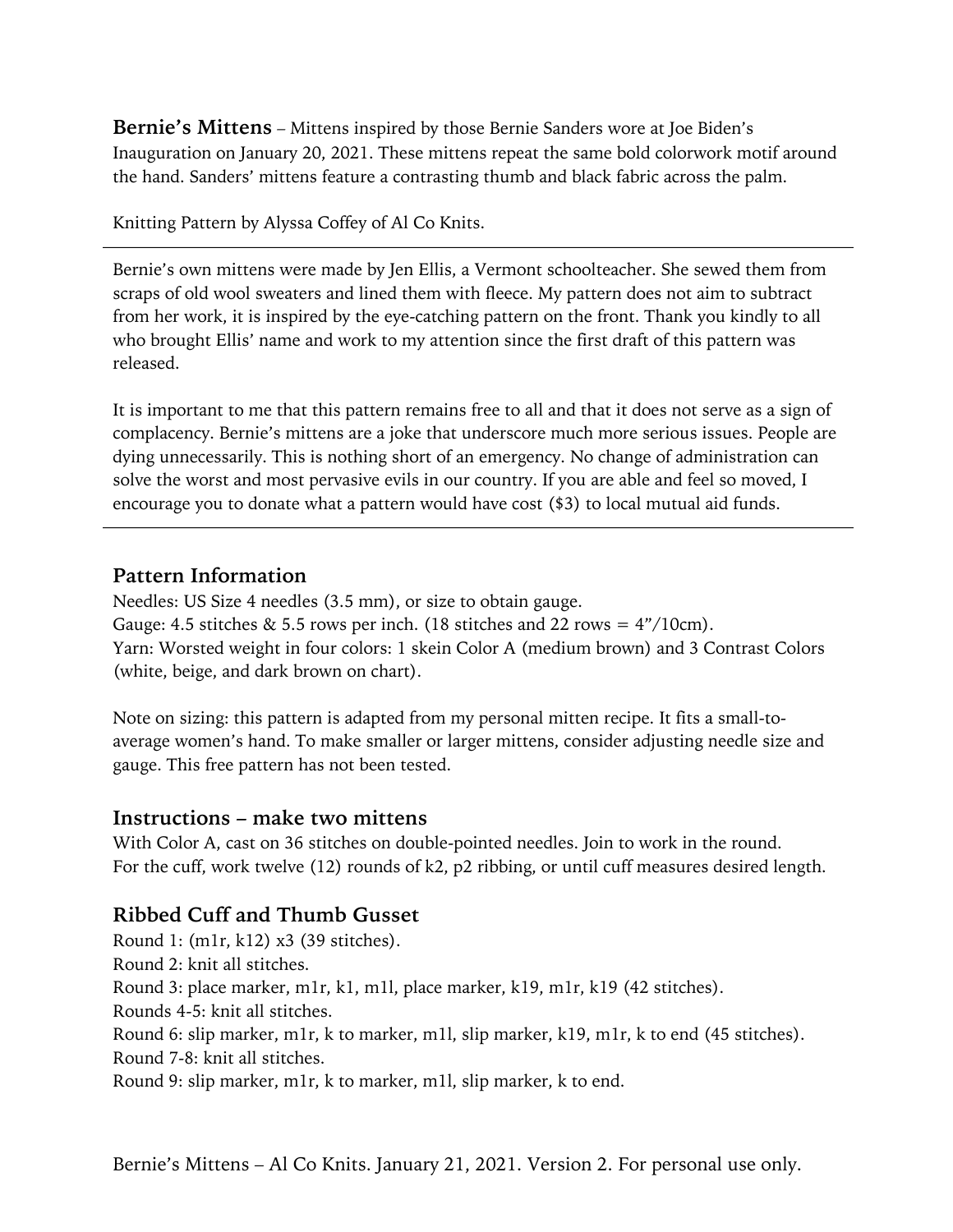**Bernie's Mittens** – Mittens inspired by those Bernie Sanders wore at Joe Biden's Inauguration on January 20, 2021. These mittens repeat the same bold colorwork motif around the hand. Sanders' mittens feature a contrasting thumb and black fabric across the palm.

Knitting Pattern by Alyssa Coffey of Al Co Knits.

Bernie's own mittens were made by Jen Ellis, a Vermont schoolteacher. She sewed them from scraps of old wool sweaters and lined them with fleece. My pattern does not aim to subtract from her work, it is inspired by the eye-catching pattern on the front. Thank you kindly to all who brought Ellis' name and work to my attention since the first draft of this pattern was released.

It is important to me that this pattern remains free to all and that it does not serve as a sign of complacency. Bernie's mittens are a joke that underscore much more serious issues. People are dying unnecessarily. This is nothing short of an emergency. No change of administration can solve the worst and most pervasive evils in our country. If you are able and feel so moved, I encourage you to donate what a pattern would have cost (\$3) to local mutual aid funds.

#### **Pattern Information**

Needles: US Size 4 needles (3.5 mm), or size to obtain gauge. Gauge: 4.5 stitches & 5.5 rows per inch. (18 stitches and 22 rows =  $4\frac{\textdegree}{10}$ cm). Yarn: Worsted weight in four colors: 1 skein Color A (medium brown) and 3 Contrast Colors (white, beige, and dark brown on chart).

Note on sizing: this pattern is adapted from my personal mitten recipe. It fits a small-toaverage women's hand. To make smaller or larger mittens, consider adjusting needle size and gauge. This free pattern has not been tested.

#### **Instructions – make two mittens**

With Color A, cast on 36 stitches on double-pointed needles. Join to work in the round. For the cuff, work twelve (12) rounds of k2, p2 ribbing, or until cuff measures desired length.

#### **Ribbed Cuff and Thumb Gusset**

Round 1: (m1r, k12) x3 (39 stitches). Round 2: knit all stitches. Round 3: place marker, m1r, k1, m1l, place marker, k19, m1r, k19 (42 stitches). Rounds 4-5: knit all stitches. Round 6: slip marker, m1r, k to marker, m1l, slip marker, k19, m1r, k to end (45 stitches). Round 7-8: knit all stitches. Round 9: slip marker, m1r, k to marker, m1l, slip marker, k to end.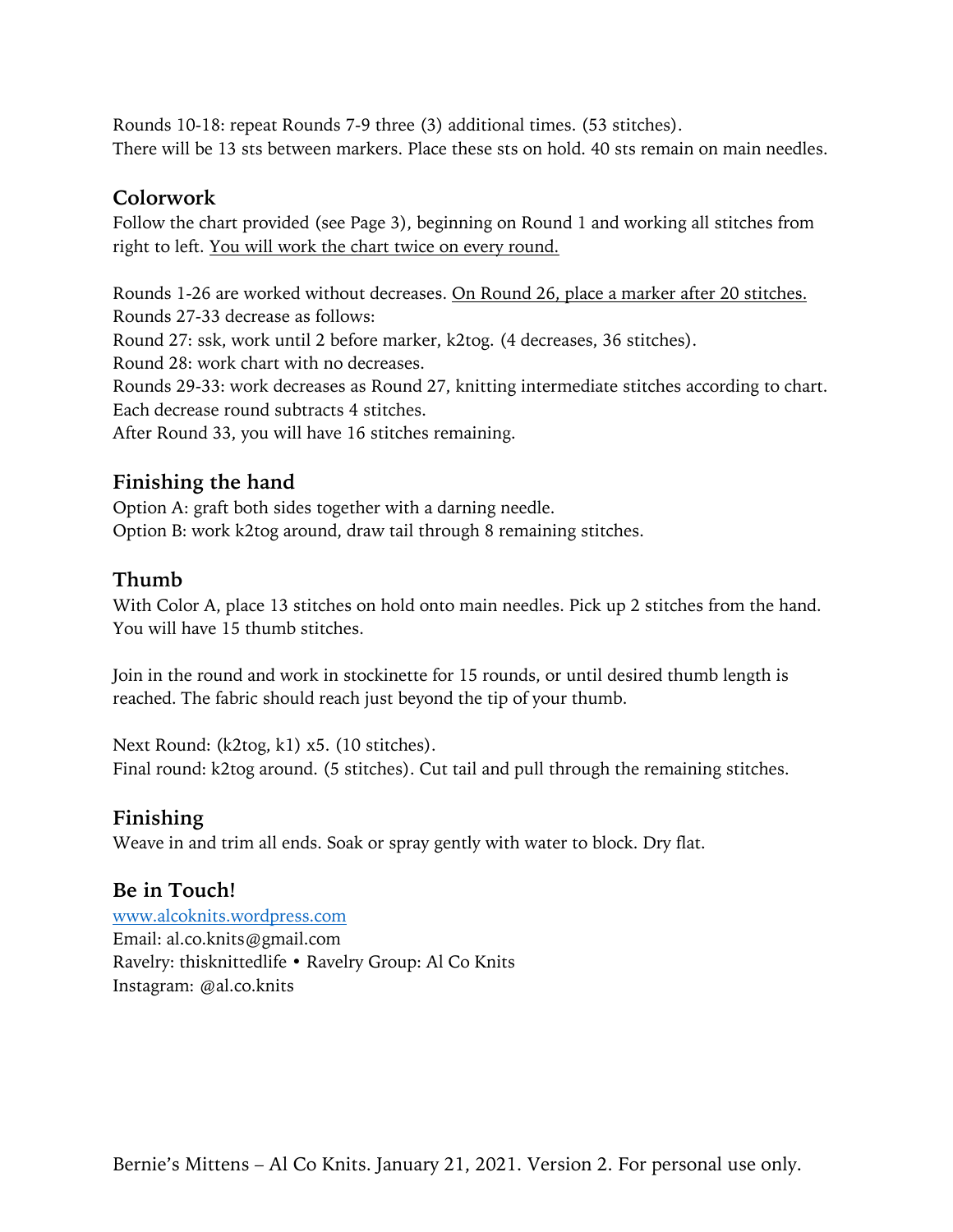Rounds 10-18: repeat Rounds 7-9 three (3) additional times. (53 stitches). There will be 13 sts between markers. Place these sts on hold. 40 sts remain on main needles.

#### **Colorwork**

Follow the chart provided (see Page 3), beginning on Round 1 and working all stitches from right to left. You will work the chart twice on every round.

Rounds 1-26 are worked without decreases. On Round 26, place a marker after 20 stitches. Rounds 27-33 decrease as follows: Round 27: ssk, work until 2 before marker, k2tog. (4 decreases, 36 stitches). Round 28: work chart with no decreases. Rounds 29-33: work decreases as Round 27, knitting intermediate stitches according to chart. Each decrease round subtracts 4 stitches. After Round 33, you will have 16 stitches remaining.

# **Finishing the hand**

Option A: graft both sides together with a darning needle. Option B: work k2tog around, draw tail through 8 remaining stitches.

# **Thumb**

With Color A, place 13 stitches on hold onto main needles. Pick up 2 stitches from the hand. You will have 15 thumb stitches.

Join in the round and work in stockinette for 15 rounds, or until desired thumb length is reached. The fabric should reach just beyond the tip of your thumb.

Next Round: (k2tog, k1) x5. (10 stitches). Final round: k2tog around. (5 stitches). Cut tail and pull through the remaining stitches.

# **Finishing**

Weave in and trim all ends. Soak or spray gently with water to block. Dry flat.

# **Be in Touch!**

www.alcoknits.wordpress.com Email: al.co.knits@gmail.com Ravelry: thisknittedlife • Ravelry Group: Al Co Knits Instagram: @al.co.knits